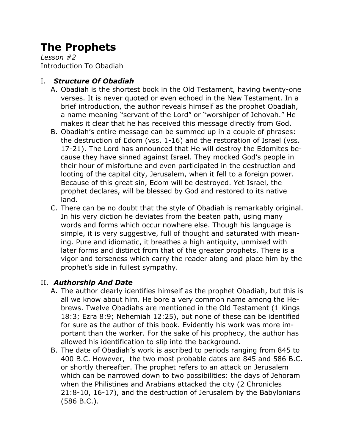# **The Prophets**

*Lesson #2* Introduction To Obadiah

## I. *Structure Of Obadiah*

- A. Obadiah is the shortest book in the Old Testament, having twenty-one verses. It is never quoted or even echoed in the New Testament. In a brief introduction, the author reveals himself as the prophet Obadiah, a name meaning "servant of the Lord" or "worshiper of Jehovah." He makes it clear that he has received this message directly from God.
- B. Obadiah's entire message can be summed up in a couple of phrases: the destruction of Edom (vss. 1-16) and the restoration of Israel (vss. 17-21). The Lord has announced that He will destroy the Edomites because they have sinned against Israel. They mocked God's people in their hour of misfortune and even participated in the destruction and looting of the capital city, Jerusalem, when it fell to a foreign power. Because of this great sin, Edom will be destroyed. Yet Israel, the prophet declares, will be blessed by God and restored to its native land.
- C. There can be no doubt that the style of Obadiah is remarkably original. In his very diction he deviates from the beaten path, using many words and forms which occur nowhere else. Though his language is simple, it is very suggestive, full of thought and saturated with meaning. Pure and idiomatic, it breathes a high antiquity, unmixed with later forms and distinct from that of the greater prophets. There is a vigor and terseness which carry the reader along and place him by the prophet's side in fullest sympathy.

## II. *Authorship And Date*

- A. The author clearly identifies himself as the prophet Obadiah, but this is all we know about him. He bore a very common name among the Hebrews. Twelve Obadiahs are mentioned in the Old Testament (1 Kings 18:3; Ezra 8:9; Nehemiah 12:25), but none of these can be identified for sure as the author of this book. Evidently his work was more important than the worker. For the sake of his prophecy, the author has allowed his identification to slip into the background.
- B. The date of Obadiah's work is ascribed to periods ranging from 845 to 400 B.C. However, the two most probable dates are 845 and 586 B.C. or shortly thereafter. The prophet refers to an attack on Jerusalem which can be narrowed down to two possibilities: the days of Jehoram when the Philistines and Arabians attacked the city (2 Chronicles 21:8-10, 16-17), and the destruction of Jerusalem by the Babylonians (586 B.C.).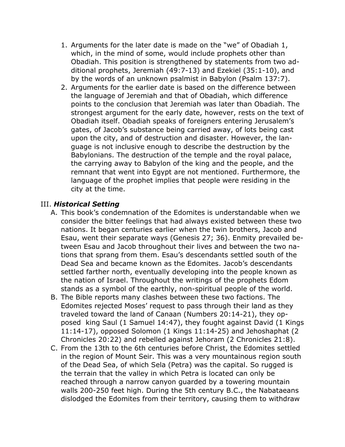- 1. Arguments for the later date is made on the "we" of Obadiah 1, which, in the mind of some, would include prophets other than Obadiah. This position is strengthened by statements from two additional prophets, Jeremiah (49:7-13) and Ezekiel (35:1-10), and by the words of an unknown psalmist in Babylon (Psalm 137:7).
- 2. Arguments for the earlier date is based on the difference between the language of Jeremiah and that of Obadiah, which difference points to the conclusion that Jeremiah was later than Obadiah. The strongest argument for the early date, however, rests on the text of Obadiah itself. Obadiah speaks of foreigners entering Jerusalem's gates, of Jacob's substance being carried away, of lots being cast upon the city, and of destruction and disaster. However, the language is not inclusive enough to describe the destruction by the Babylonians. The destruction of the temple and the royal palace, the carrying away to Babylon of the king and the people, and the remnant that went into Egypt are not mentioned. Furthermore, the language of the prophet implies that people were residing in the city at the time.

#### III. *Historical Setting*

- A. This book's condemnation of the Edomites is understandable when we consider the bitter feelings that had always existed between these two nations. It began centuries earlier when the twin brothers, Jacob and Esau, went their separate ways (Genesis 27; 36). Enmity prevailed between Esau and Jacob throughout their lives and between the two nations that sprang from them. Esau's descendants settled south of the Dead Sea and became known as the Edomites. Jacob's descendants settled farther north, eventually developing into the people known as the nation of Israel. Throughout the writings of the prophets Edom stands as a symbol of the earthly, non-spiritual people of the world.
- B. The Bible reports many clashes between these two factions. The Edomites rejected Moses' request to pass through their land as they traveled toward the land of Canaan (Numbers 20:14-21), they opposed king Saul (1 Samuel 14:47), they fought against David (1 Kings 11:14-17), opposed Solomon (1 Kings 11:14-25) and Jehoshaphat (2 Chronicles 20:22) and rebelled against Jehoram (2 Chronicles 21:8).
- C. From the 13th to the 6th centuries before Christ, the Edomites settled in the region of Mount Seir. This was a very mountainous region south of the Dead Sea, of which Sela (Petra) was the capital. So rugged is the terrain that the valley in which Petra is located can only be reached through a narrow canyon guarded by a towering mountain walls 200-250 feet high. During the 5th century B.C., the Nabataeans dislodged the Edomites from their territory, causing them to withdraw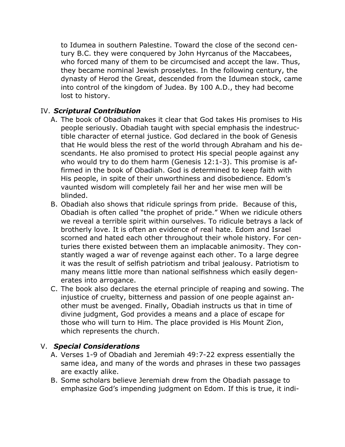to Idumea in southern Palestine. Toward the close of the second century B.C. they were conquered by John Hyrcanus of the Maccabees, who forced many of them to be circumcised and accept the law. Thus, they became nominal Jewish proselytes. In the following century, the dynasty of Herod the Great, descended from the Idumean stock, came into control of the kingdom of Judea. By 100 A.D., they had become lost to history.

### IV. *Scriptural Contribution*

- A. The book of Obadiah makes it clear that God takes His promises to His people seriously. Obadiah taught with special emphasis the indestructible character of eternal justice. God declared in the book of Genesis that He would bless the rest of the world through Abraham and his descendants. He also promised to protect His special people against any who would try to do them harm (Genesis 12:1-3). This promise is affirmed in the book of Obadiah. God is determined to keep faith with His people, in spite of their unworthiness and disobedience. Edom's vaunted wisdom will completely fail her and her wise men will be blinded.
- B. Obadiah also shows that ridicule springs from pride. Because of this, Obadiah is often called "the prophet of pride." When we ridicule others we reveal a terrible spirit within ourselves. To ridicule betrays a lack of brotherly love. It is often an evidence of real hate. Edom and Israel scorned and hated each other throughout their whole history. For centuries there existed between them an implacable animosity. They constantly waged a war of revenge against each other. To a large degree it was the result of selfish patriotism and tribal jealousy. Patriotism to many means little more than national selfishness which easily degenerates into arrogance.
- C. The book also declares the eternal principle of reaping and sowing. The injustice of cruelty, bitterness and passion of one people against another must be avenged. Finally, Obadiah instructs us that in time of divine judgment, God provides a means and a place of escape for those who will turn to Him. The place provided is His Mount Zion, which represents the church.

#### V. *Special Considerations*

- A. Verses 1-9 of Obadiah and Jeremiah 49:7-22 express essentially the same idea, and many of the words and phrases in these two passages are exactly alike.
- B. Some scholars believe Jeremiah drew from the Obadiah passage to emphasize God's impending judgment on Edom. If this is true, it indi-